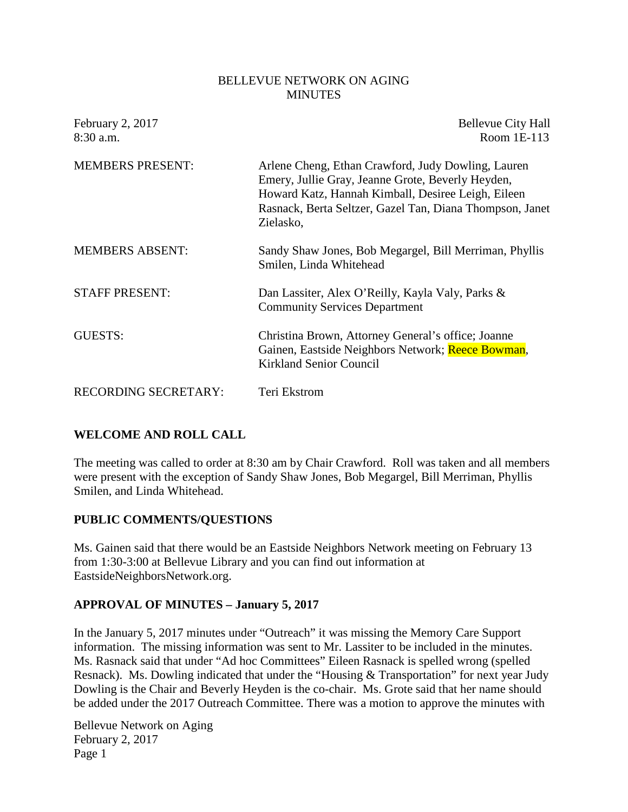#### BELLEVUE NETWORK ON AGING **MINUTES**

| February 2, 2017<br>8:30 a.m. | <b>Bellevue City Hall</b><br>Room $1E-113$                                                                                                                                                                                             |
|-------------------------------|----------------------------------------------------------------------------------------------------------------------------------------------------------------------------------------------------------------------------------------|
| <b>MEMBERS PRESENT:</b>       | Arlene Cheng, Ethan Crawford, Judy Dowling, Lauren<br>Emery, Jullie Gray, Jeanne Grote, Beverly Heyden,<br>Howard Katz, Hannah Kimball, Desiree Leigh, Eileen<br>Rasnack, Berta Seltzer, Gazel Tan, Diana Thompson, Janet<br>Zielasko, |
| <b>MEMBERS ABSENT:</b>        | Sandy Shaw Jones, Bob Megargel, Bill Merriman, Phyllis<br>Smilen, Linda Whitehead                                                                                                                                                      |
| <b>STAFF PRESENT:</b>         | Dan Lassiter, Alex O'Reilly, Kayla Valy, Parks &<br><b>Community Services Department</b>                                                                                                                                               |
| GUESTS:                       | Christina Brown, Attorney General's office; Joanne<br>Gainen, Eastside Neighbors Network; Reece Bowman,<br><b>Kirkland Senior Council</b>                                                                                              |
| <b>RECORDING SECRETARY:</b>   | Teri Ekstrom                                                                                                                                                                                                                           |

### **WELCOME AND ROLL CALL**

The meeting was called to order at 8:30 am by Chair Crawford. Roll was taken and all members were present with the exception of Sandy Shaw Jones, Bob Megargel, Bill Merriman, Phyllis Smilen, and Linda Whitehead.

#### **PUBLIC COMMENTS/QUESTIONS**

Ms. Gainen said that there would be an Eastside Neighbors Network meeting on February 13 from 1:30-3:00 at Bellevue Library and you can find out information at EastsideNeighborsNetwork.org.

#### **APPROVAL OF MINUTES – January 5, 2017**

In the January 5, 2017 minutes under "Outreach" it was missing the Memory Care Support information. The missing information was sent to Mr. Lassiter to be included in the minutes. Ms. Rasnack said that under "Ad hoc Committees" Eileen Rasnack is spelled wrong (spelled Resnack). Ms. Dowling indicated that under the "Housing & Transportation" for next year Judy Dowling is the Chair and Beverly Heyden is the co-chair. Ms. Grote said that her name should be added under the 2017 Outreach Committee. There was a motion to approve the minutes with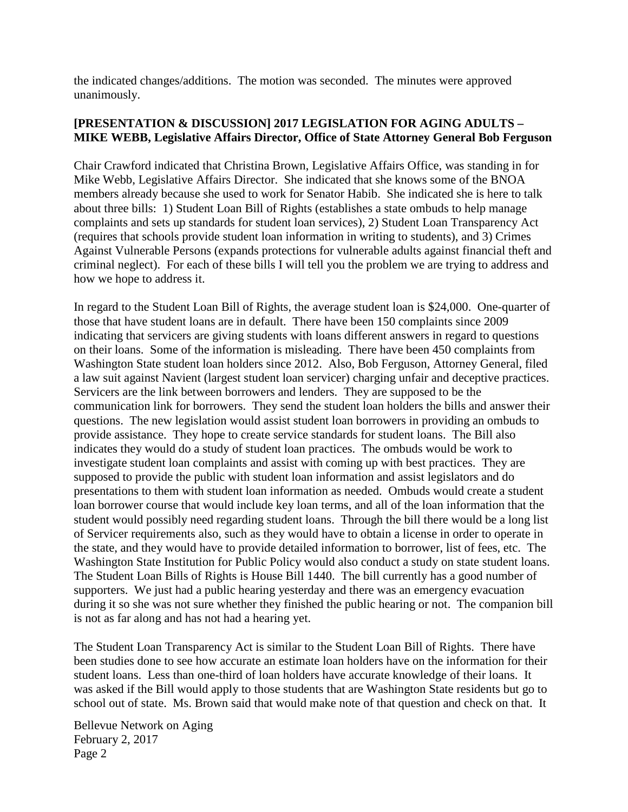the indicated changes/additions. The motion was seconded. The minutes were approved unanimously.

### **[PRESENTATION & DISCUSSION] 2017 LEGISLATION FOR AGING ADULTS – MIKE WEBB, Legislative Affairs Director, Office of State Attorney General Bob Ferguson**

Chair Crawford indicated that Christina Brown, Legislative Affairs Office, was standing in for Mike Webb, Legislative Affairs Director. She indicated that she knows some of the BNOA members already because she used to work for Senator Habib. She indicated she is here to talk about three bills: 1) Student Loan Bill of Rights (establishes a state ombuds to help manage complaints and sets up standards for student loan services), 2) Student Loan Transparency Act (requires that schools provide student loan information in writing to students), and 3) Crimes Against Vulnerable Persons (expands protections for vulnerable adults against financial theft and criminal neglect). For each of these bills I will tell you the problem we are trying to address and how we hope to address it.

In regard to the Student Loan Bill of Rights, the average student loan is \$24,000. One-quarter of those that have student loans are in default. There have been 150 complaints since 2009 indicating that servicers are giving students with loans different answers in regard to questions on their loans. Some of the information is misleading. There have been 450 complaints from Washington State student loan holders since 2012. Also, Bob Ferguson, Attorney General, filed a law suit against Navient (largest student loan servicer) charging unfair and deceptive practices. Servicers are the link between borrowers and lenders. They are supposed to be the communication link for borrowers. They send the student loan holders the bills and answer their questions. The new legislation would assist student loan borrowers in providing an ombuds to provide assistance. They hope to create service standards for student loans. The Bill also indicates they would do a study of student loan practices. The ombuds would be work to investigate student loan complaints and assist with coming up with best practices. They are supposed to provide the public with student loan information and assist legislators and do presentations to them with student loan information as needed. Ombuds would create a student loan borrower course that would include key loan terms, and all of the loan information that the student would possibly need regarding student loans. Through the bill there would be a long list of Servicer requirements also, such as they would have to obtain a license in order to operate in the state, and they would have to provide detailed information to borrower, list of fees, etc. The Washington State Institution for Public Policy would also conduct a study on state student loans. The Student Loan Bills of Rights is House Bill 1440. The bill currently has a good number of supporters. We just had a public hearing yesterday and there was an emergency evacuation during it so she was not sure whether they finished the public hearing or not. The companion bill is not as far along and has not had a hearing yet.

The Student Loan Transparency Act is similar to the Student Loan Bill of Rights. There have been studies done to see how accurate an estimate loan holders have on the information for their student loans. Less than one-third of loan holders have accurate knowledge of their loans. It was asked if the Bill would apply to those students that are Washington State residents but go to school out of state. Ms. Brown said that would make note of that question and check on that. It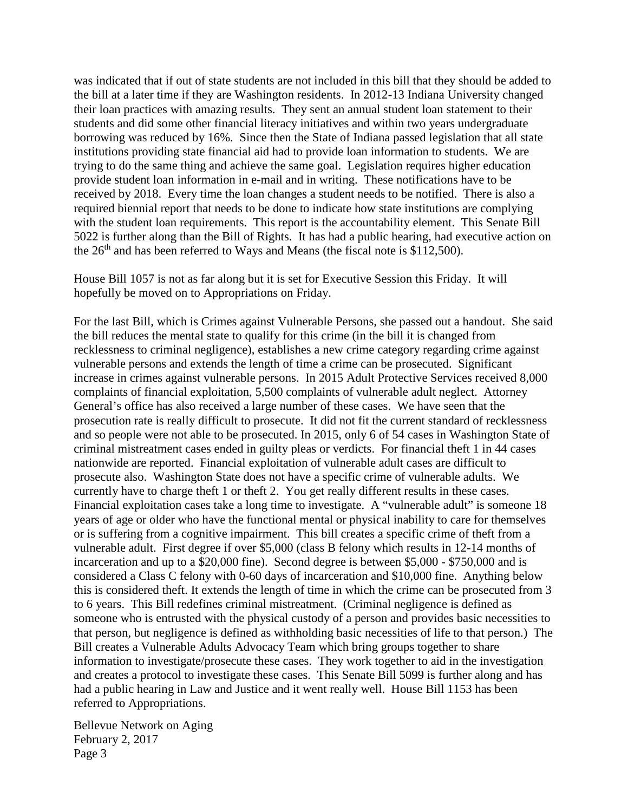was indicated that if out of state students are not included in this bill that they should be added to the bill at a later time if they are Washington residents. In 2012-13 Indiana University changed their loan practices with amazing results. They sent an annual student loan statement to their students and did some other financial literacy initiatives and within two years undergraduate borrowing was reduced by 16%. Since then the State of Indiana passed legislation that all state institutions providing state financial aid had to provide loan information to students. We are trying to do the same thing and achieve the same goal. Legislation requires higher education provide student loan information in e-mail and in writing. These notifications have to be received by 2018. Every time the loan changes a student needs to be notified. There is also a required biennial report that needs to be done to indicate how state institutions are complying with the student loan requirements. This report is the accountability element. This Senate Bill 5022 is further along than the Bill of Rights. It has had a public hearing, had executive action on the  $26<sup>th</sup>$  and has been referred to Ways and Means (the fiscal note is \$112,500).

House Bill 1057 is not as far along but it is set for Executive Session this Friday. It will hopefully be moved on to Appropriations on Friday.

For the last Bill, which is Crimes against Vulnerable Persons, she passed out a handout. She said the bill reduces the mental state to qualify for this crime (in the bill it is changed from recklessness to criminal negligence), establishes a new crime category regarding crime against vulnerable persons and extends the length of time a crime can be prosecuted. Significant increase in crimes against vulnerable persons. In 2015 Adult Protective Services received 8,000 complaints of financial exploitation, 5,500 complaints of vulnerable adult neglect. Attorney General's office has also received a large number of these cases. We have seen that the prosecution rate is really difficult to prosecute. It did not fit the current standard of recklessness and so people were not able to be prosecuted. In 2015, only 6 of 54 cases in Washington State of criminal mistreatment cases ended in guilty pleas or verdicts. For financial theft 1 in 44 cases nationwide are reported. Financial exploitation of vulnerable adult cases are difficult to prosecute also. Washington State does not have a specific crime of vulnerable adults. We currently have to charge theft 1 or theft 2. You get really different results in these cases. Financial exploitation cases take a long time to investigate. A "vulnerable adult" is someone 18 years of age or older who have the functional mental or physical inability to care for themselves or is suffering from a cognitive impairment. This bill creates a specific crime of theft from a vulnerable adult. First degree if over \$5,000 (class B felony which results in 12-14 months of incarceration and up to a \$20,000 fine). Second degree is between \$5,000 - \$750,000 and is considered a Class C felony with 0-60 days of incarceration and \$10,000 fine. Anything below this is considered theft. It extends the length of time in which the crime can be prosecuted from 3 to 6 years. This Bill redefines criminal mistreatment. (Criminal negligence is defined as someone who is entrusted with the physical custody of a person and provides basic necessities to that person, but negligence is defined as withholding basic necessities of life to that person.) The Bill creates a Vulnerable Adults Advocacy Team which bring groups together to share information to investigate/prosecute these cases. They work together to aid in the investigation and creates a protocol to investigate these cases. This Senate Bill 5099 is further along and has had a public hearing in Law and Justice and it went really well. House Bill 1153 has been referred to Appropriations.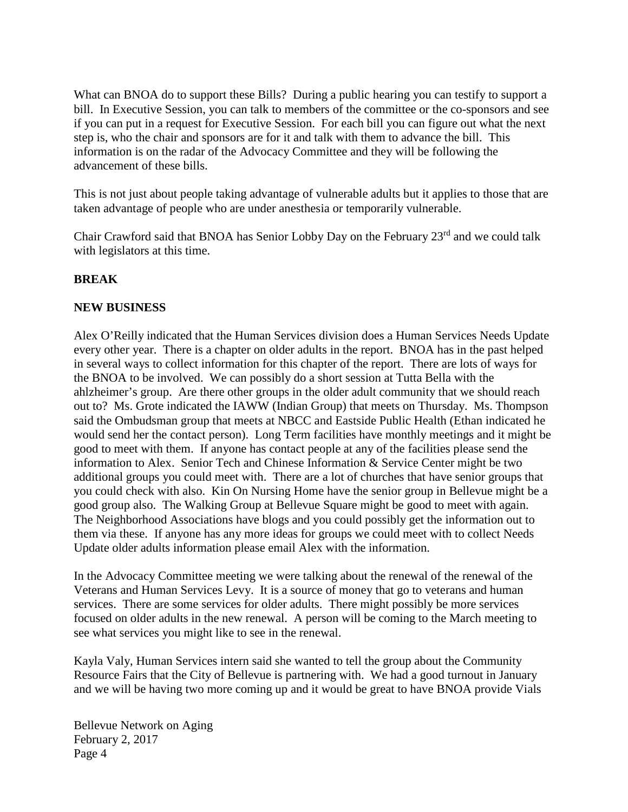What can BNOA do to support these Bills? During a public hearing you can testify to support a bill. In Executive Session, you can talk to members of the committee or the co-sponsors and see if you can put in a request for Executive Session. For each bill you can figure out what the next step is, who the chair and sponsors are for it and talk with them to advance the bill. This information is on the radar of the Advocacy Committee and they will be following the advancement of these bills.

This is not just about people taking advantage of vulnerable adults but it applies to those that are taken advantage of people who are under anesthesia or temporarily vulnerable.

Chair Crawford said that BNOA has Senior Lobby Day on the February 23rd and we could talk with legislators at this time.

### **BREAK**

#### **NEW BUSINESS**

Alex O'Reilly indicated that the Human Services division does a Human Services Needs Update every other year. There is a chapter on older adults in the report. BNOA has in the past helped in several ways to collect information for this chapter of the report. There are lots of ways for the BNOA to be involved. We can possibly do a short session at Tutta Bella with the ahlzheimer's group. Are there other groups in the older adult community that we should reach out to? Ms. Grote indicated the IAWW (Indian Group) that meets on Thursday. Ms. Thompson said the Ombudsman group that meets at NBCC and Eastside Public Health (Ethan indicated he would send her the contact person). Long Term facilities have monthly meetings and it might be good to meet with them. If anyone has contact people at any of the facilities please send the information to Alex. Senior Tech and Chinese Information & Service Center might be two additional groups you could meet with. There are a lot of churches that have senior groups that you could check with also. Kin On Nursing Home have the senior group in Bellevue might be a good group also. The Walking Group at Bellevue Square might be good to meet with again. The Neighborhood Associations have blogs and you could possibly get the information out to them via these. If anyone has any more ideas for groups we could meet with to collect Needs Update older adults information please email Alex with the information.

In the Advocacy Committee meeting we were talking about the renewal of the renewal of the Veterans and Human Services Levy. It is a source of money that go to veterans and human services. There are some services for older adults. There might possibly be more services focused on older adults in the new renewal. A person will be coming to the March meeting to see what services you might like to see in the renewal.

Kayla Valy, Human Services intern said she wanted to tell the group about the Community Resource Fairs that the City of Bellevue is partnering with. We had a good turnout in January and we will be having two more coming up and it would be great to have BNOA provide Vials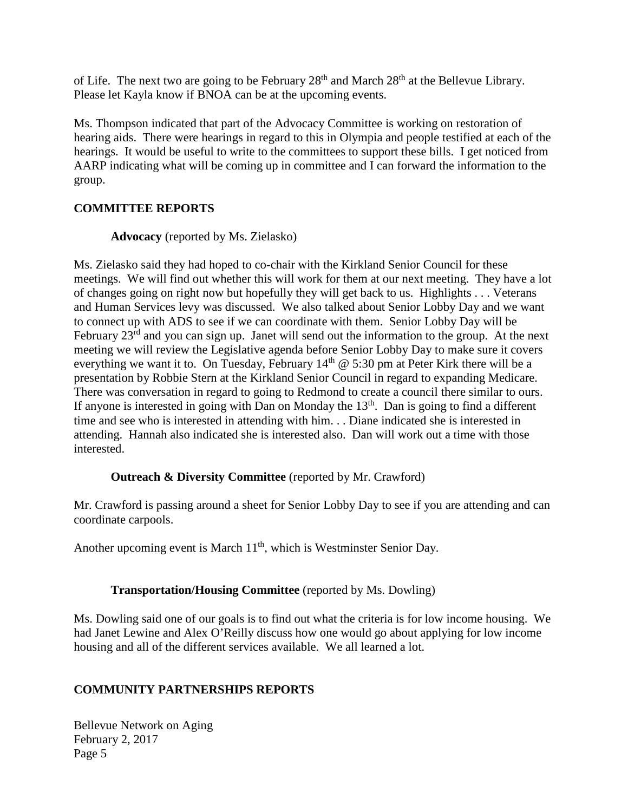of Life. The next two are going to be February  $28<sup>th</sup>$  and March  $28<sup>th</sup>$  at the Bellevue Library. Please let Kayla know if BNOA can be at the upcoming events.

Ms. Thompson indicated that part of the Advocacy Committee is working on restoration of hearing aids. There were hearings in regard to this in Olympia and people testified at each of the hearings. It would be useful to write to the committees to support these bills. I get noticed from AARP indicating what will be coming up in committee and I can forward the information to the group.

### **COMMITTEE REPORTS**

**Advocacy** (reported by Ms. Zielasko)

Ms. Zielasko said they had hoped to co-chair with the Kirkland Senior Council for these meetings. We will find out whether this will work for them at our next meeting. They have a lot of changes going on right now but hopefully they will get back to us. Highlights . . . Veterans and Human Services levy was discussed. We also talked about Senior Lobby Day and we want to connect up with ADS to see if we can coordinate with them. Senior Lobby Day will be February 23<sup>rd</sup> and you can sign up. Janet will send out the information to the group. At the next meeting we will review the Legislative agenda before Senior Lobby Day to make sure it covers everything we want it to. On Tuesday, February  $14<sup>th</sup>$  @ 5:30 pm at Peter Kirk there will be a presentation by Robbie Stern at the Kirkland Senior Council in regard to expanding Medicare. There was conversation in regard to going to Redmond to create a council there similar to ours. If anyone is interested in going with Dan on Monday the  $13<sup>th</sup>$ . Dan is going to find a different time and see who is interested in attending with him. . . Diane indicated she is interested in attending. Hannah also indicated she is interested also. Dan will work out a time with those interested.

### **Outreach & Diversity Committee** (reported by Mr. Crawford)

Mr. Crawford is passing around a sheet for Senior Lobby Day to see if you are attending and can coordinate carpools.

Another upcoming event is March  $11<sup>th</sup>$ , which is Westminster Senior Day.

### **Transportation/Housing Committee** (reported by Ms. Dowling)

Ms. Dowling said one of our goals is to find out what the criteria is for low income housing. We had Janet Lewine and Alex O'Reilly discuss how one would go about applying for low income housing and all of the different services available. We all learned a lot.

# **COMMUNITY PARTNERSHIPS REPORTS**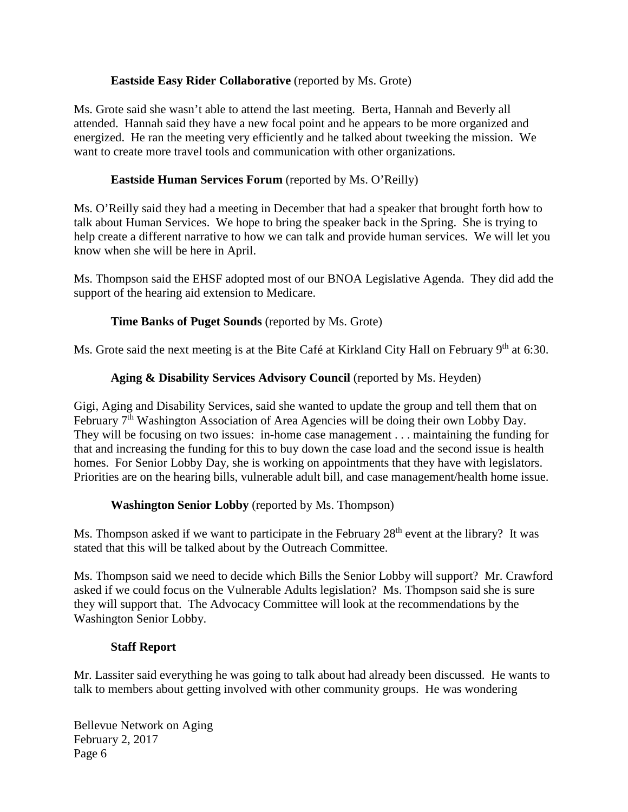### **Eastside Easy Rider Collaborative** (reported by Ms. Grote)

Ms. Grote said she wasn't able to attend the last meeting. Berta, Hannah and Beverly all attended. Hannah said they have a new focal point and he appears to be more organized and energized. He ran the meeting very efficiently and he talked about tweeking the mission. We want to create more travel tools and communication with other organizations.

## **Eastside Human Services Forum** (reported by Ms. O'Reilly)

Ms. O'Reilly said they had a meeting in December that had a speaker that brought forth how to talk about Human Services. We hope to bring the speaker back in the Spring. She is trying to help create a different narrative to how we can talk and provide human services. We will let you know when she will be here in April.

Ms. Thompson said the EHSF adopted most of our BNOA Legislative Agenda. They did add the support of the hearing aid extension to Medicare.

## **Time Banks of Puget Sounds** (reported by Ms. Grote)

Ms. Grote said the next meeting is at the Bite Café at Kirkland City Hall on February 9<sup>th</sup> at 6:30.

## **Aging & Disability Services Advisory Council** (reported by Ms. Heyden)

Gigi, Aging and Disability Services, said she wanted to update the group and tell them that on February 7<sup>th</sup> Washington Association of Area Agencies will be doing their own Lobby Day. They will be focusing on two issues: in-home case management . . . maintaining the funding for that and increasing the funding for this to buy down the case load and the second issue is health homes. For Senior Lobby Day, she is working on appointments that they have with legislators. Priorities are on the hearing bills, vulnerable adult bill, and case management/health home issue.

# **Washington Senior Lobby** (reported by Ms. Thompson)

Ms. Thompson asked if we want to participate in the February  $28<sup>th</sup>$  event at the library? It was stated that this will be talked about by the Outreach Committee.

Ms. Thompson said we need to decide which Bills the Senior Lobby will support? Mr. Crawford asked if we could focus on the Vulnerable Adults legislation? Ms. Thompson said she is sure they will support that. The Advocacy Committee will look at the recommendations by the Washington Senior Lobby.

### **Staff Report**

Mr. Lassiter said everything he was going to talk about had already been discussed. He wants to talk to members about getting involved with other community groups. He was wondering